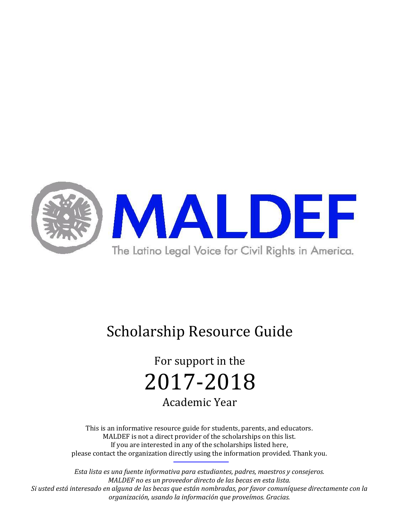

# Scholarship Resource Guide

For support in the 2017-2018 Academic Year

This is an informative resource guide for students, parents, and educators. MALDEF is not a direct provider of the scholarships on this list. If you are interested in any of the scholarships listed here, please contact the organization directly using the information provided. Thank you.

*Esta lista es una fuente informativa para estudiantes, padres, maestros y consejeros. MALDEF no es un proveedor directo de las becas en esta lista. Si usted está interesado en alguna de las becas que están nombradas, por favor comuníquese directamente con la organización, usando la información que proveímos. Gracias.*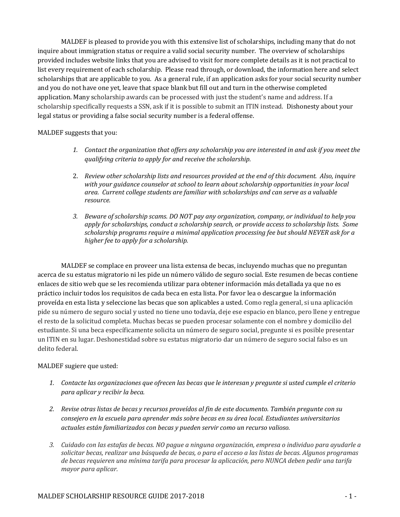MALDEF is pleased to provide you with this extensive list of scholarships, including many that do not inquire about immigration status or require a valid social security number. The overview of scholarships provided includes website links that you are advised to visit for more complete details as it is not practical to list every requirement of each scholarship. Please read through, or download, the information here and select scholarships that are applicable to you. As a general rule, if an application asks for your social security number and you do not have one yet, leave that space blank but fill out and turn in the otherwise completed application. Many scholarship awards can be processed with just the student's name and address. If a scholarship specifically requests a SSN, ask if it is possible to submit an ITIN instead. Dishonesty about your legal status or providing a false social security number is a federal offense.

#### MALDEF suggests that you:

- *1. Contact the organization that offers any scholarship you are interested in and ask if you meet the qualifying criteria to apply for and receive the scholarship.*
- 2. *Review other scholarship lists and resources provided at the end of this document. Also, inquire with your guidance counselor at school to learn about scholarship opportunities in your local area. Current college students are familiar with scholarships and can serve as a valuable resource.*
- *3. Beware of scholarship scams. DO NOT pay any organization, company, or individual to help you apply for scholarships, conduct a scholarship search, or provide access to scholarship lists. Some scholarship programs require a minimal application processing fee but should NEVER ask for a higher fee to apply for a scholarship.*

MALDEF se complace en proveer una lista extensa de becas, incluyendo muchas que no preguntan acerca de su estatus migratorio ni les pide un número válido de seguro social. Este resumen de becas contiene enlaces de sitio web que se les recomienda utilizar para obtener información más detallada ya que no es práctico incluir todos los requisitos de cada beca en esta lista. Por favor lea o descargue la información proveída en esta lista y seleccione las becas que son aplicables a usted. Como regla general, si una aplicación pide su número de seguro social y usted no tiene uno todavía, deje ese espacio en blanco, pero llene y entregue el resto de la solicitud completa. Muchas becas se pueden procesar solamente con el nombre y domicilio del estudiante. Si una beca específicamente solicita un número de seguro social, pregunte si es posible presentar un ITIN en su lugar. Deshonestidad sobre su estatus migratorio dar un número de seguro social falso es un delito federal.

#### MALDEF sugiere que usted:

- *1. Contacte las organizaciones que ofrecen las becas que le interesan y pregunte si usted cumple el criterio para aplicar y recibir la beca.*
- *2. Revise otras listas de becas y recursos proveídos al fin de este documento. También pregunte con su consejero en la escuela para aprender más sobre becas en su área local. Estudiantes universitarios actuales están familiarizados con becas y pueden servir como un recurso valioso.*
- *3. Cuidado con las estafas de becas. NO pague a ninguna organización, empresa o individuo para ayudarle a solicitar becas, realizar una búsqueda de becas, o para el acceso a las listas de becas. Algunos programas de becas requieren una mínima tarifa para procesar la aplicación, pero NUNCA deben pedir una tarifa mayor para aplicar.*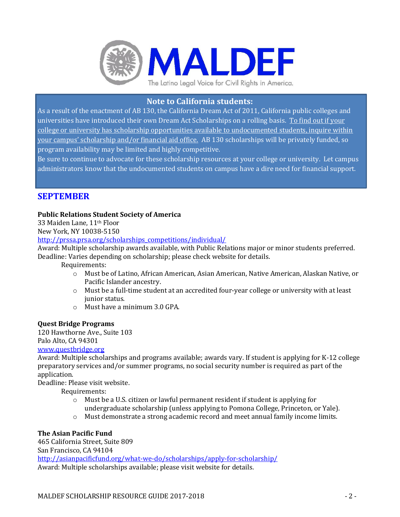

# **Note to California students:**

As a result of the enactment of AB 130, the California Dream Act of 2011, California public colleges and universities have introduced their own Dream Act Scholarships on a rolling basis. To find out if your college or university has scholarship opportunities available to undocumented students, inquire within your campus' scholarship and/or financial aid office. AB 130 scholarships will be privately funded, so program availability may be limited and highly competitive.

Be sure to continue to advocate for these scholarship resources at your college or university. Let campus administrators know that the undocumented students on campus have a dire need for financial support.

# **SEPTEMBER**

#### **Public Relations Student Society of America**

33 Maiden Lane, 11th Floor

New York, NY 10038-5150

[http://prssa.prsa.org/scholarships\\_competitions/individual/](http://prssa.prsa.org/scholarships_competitions/individual/)

Award: Multiple scholarship awards available, with Public Relations major or minor students preferred. Deadline: Varies depending on scholarship; please check website for details.

Requirements:

- o Must be of Latino, African American, Asian American, Native American, Alaskan Native, or Pacific Islander ancestry.
- o Must be a full-time student at an accredited four-year college or university with at least junior status.
- o Must have a minimum 3.0 GPA.

#### **Quest Bridge Programs**

120 Hawthorne Ave., Suite 103 Palo Alto, CA 94301 [www.questbridge.org](http://www.questbridge.org/)

Award: Multiple scholarships and programs available; awards vary. If student is applying for K-12 college preparatory services and/or summer programs, no social security number is required as part of the application.

Deadline: Please visit website.

Requirements:

- o Must be a U.S. citizen or lawful permanent resident if student is applying for undergraduate scholarship (unless applying to Pomona College, Princeton, or Yale).
- o Must demonstrate a strong academic record and meet annual family income limits.

## **The Asian Pacific Fund**

465 California Street, Suite 809 San Francisco, CA 94104

<http://asianpacificfund.org/what-we-do/scholarships/apply-for-scholarship/> Award: Multiple scholarships available; please visit website for details.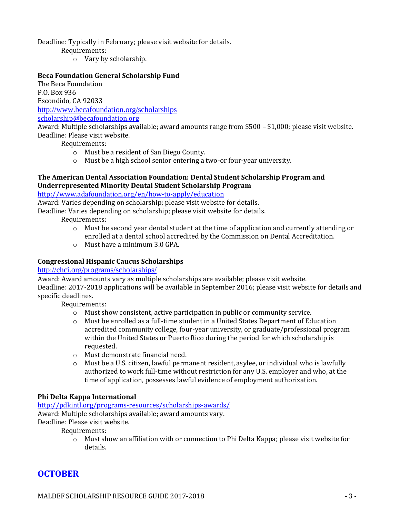Deadline: Typically in February; please visit website for details.

Requirements:

o Vary by scholarship.

#### **Beca Foundation General Scholarship Fund**

The Beca Foundation P.O. Box 936 Escondido, CA 92033 <http://www.becafoundation.org/scholarships> [scholarship@becafoundation.org](mailto:scholarship@becafoundation.org)

Award: Multiple scholarships available; award amounts range from \$500 – \$1,000; please visit website. Deadline: Please visit website.

Requirements:

- o Must be a resident of San Diego County.
- o Must be a high school senior entering a two-or four-year university.

#### **The American Dental Association Foundation: Dental Student Scholarship Program and Underrepresented Minority Dental Student Scholarship Program**

<http://www.adafoundation.org/en/how-to-apply/education>

Award: Varies depending on scholarship; please visit website for details.

Deadline: Varies depending on scholarship; please visit website for details.

Requirements:

- $\circ$  Must be second year dental student at the time of application and currently attending or enrolled at a dental school accredited by the Commission on Dental Accreditation.
- o Must have a minimum 3.0 GPA.

## **Congressional Hispanic Caucus Scholarships**

#### <http://chci.org/programs/scholarships/>

Award: Award amounts vary as multiple scholarships are available; please visit website. Deadline: 2017-2018 applications will be available in September 2016; please visit website for details and specific deadlines.

Requirements:

- o Must show consistent, active participation in public or community service.
- o Must be enrolled as a full-time student in a United States Department of Education accredited community college, four-year university, or graduate/professional program within the United States or Puerto Rico during the period for which scholarship is requested.
- o Must demonstrate financial need.
- o Must be a U.S. citizen, lawful permanent resident, asylee, or individual who is lawfully authorized to work full-time without restriction for any U.S. employer and who, at the time of application, possesses lawful evidence of employment authorization.

## **Phi Delta Kappa International**

<http://pdkintl.org/programs-resources/scholarships-awards/> Award: Multiple scholarships available; award amounts vary. Deadline: Please visit website.

Requirements:

 $\circ$  Must show an affiliation with or connection to Phi Delta Kappa; please visit website for details.

# **OCTOBER**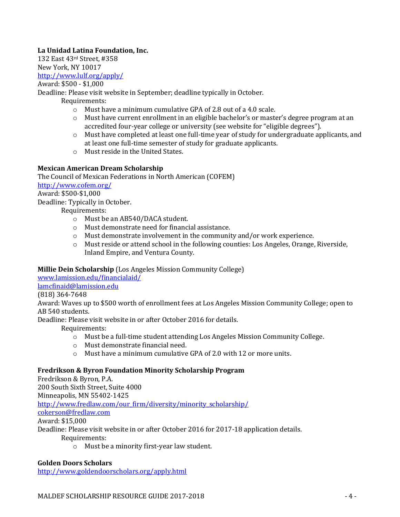## **La Unidad Latina Foundation, Inc.**

132 East 43rd Street, #358 New York, NY 10017

<http://www.lulf.org/apply/>

Award: \$500 - \$1,000

Deadline: Please visit website in September; deadline typically in October.

Requirements:

- o Must have a minimum cumulative GPA of 2.8 out of a 4.0 scale.
- $\circ$  Must have current enrollment in an eligible bachelor's or master's degree program at an accredited four-year college or university (see website for "eligible degrees").
- $\circ$  Must have completed at least one full-time year of study for undergraduate applicants, and at least one full-time semester of study for graduate applicants.
- o Must reside in the United States.

## **Mexican American Dream Scholarship**

The Council of Mexican Federations in North American (COFEM) <http://www.cofem.org/> Award: \$500-\$1,000

Deadline: Typically in October.

Requirements:

- o Must be an AB540/DACA student.
- o Must demonstrate need for financial assistance.
- o Must demonstrate involvement in the community and/or work experience.
- o Must reside or attend school in the following counties: Los Angeles, Orange, Riverside, Inland Empire, and Ventura County.

## **Millie Dein Scholarship** (Los Angeles Mission Community College)

[www.lamission.edu/financialaid/](http://www.lamission.edu/financialaid/)

[lamcfinaid@lamission.edu](mailto:lamcfinaid@lamission.edu)

## (818) 364-7648

Award: Waves up to \$500 worth of enrollment fees at Los Angeles Mission Community College; open to AB 540 students.

Deadline: Please visit website in or after October 2016 for details.

Requirements:

- o Must be a full-time student attending Los Angeles Mission Community College.
- o Must demonstrate financial need.
- $\circ$  Must have a minimum cumulative GPA of 2.0 with 12 or more units.

## **Fredrikson & Byron Foundation Minority Scholarship Program**

Fredrikson & Byron, P.A. 200 South Sixth Street, Suite 4000 Minneapolis, MN 55402-1425 [http://www.fredlaw.com/our\\_firm/diversity/minority\\_scholarship/](http://www.fredlaw.com/our_firm/diversity/minority_scholarship/) [cokerson@fredlaw.com](mailto:cokerson@fredlaw.com) Award: \$15,000

Deadline: Please visit website in or after October 2016 for 2017-18 application details.

Requirements:

o Must be a minority first-year law student.

## **Golden Doors Scholars**

<http://www.goldendoorscholars.org/apply.html>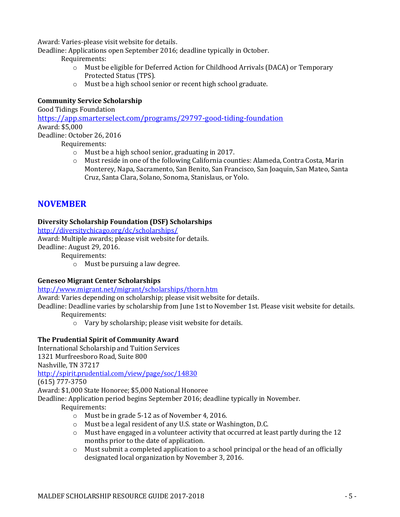Award: Varies-please visit website for details.

Deadline: Applications open September 2016; deadline typically in October.

Requirements:

- o Must be eligible for Deferred Action for Childhood Arrivals (DACA) or Temporary Protected Status (TPS).
- o Must be a high school senior or recent high school graduate.

# **Community Service Scholarship**

Good Tidings Foundation

<https://app.smarterselect.com/programs/29797-good-tiding-foundation> Award: \$5,000

Deadline: October 26, 2016

Requirements:

- o Must be a high school senior, graduating in 2017.
- o Must reside in one of the following California counties: Alameda, Contra Costa, Marin Monterey, Napa, Sacramento, San Benito, San Francisco, San Joaquin, San Mateo, Santa Cruz, Santa Clara, Solano, Sonoma, Stanislaus, or Yolo.

# **NOVEMBER**

## **Diversity Scholarship Foundation (DSF) Scholarships**

<http://diversitychicago.org/dc/scholarships/>

Award: Multiple awards; please visit website for details.

Deadline: August 29, 2016.

Requirements:

o Must be pursuing a law degree.

# **Geneseo Migrant Center Scholarships**

## <http://www.migrant.net/migrant/scholarships/thorn.htm>

Award: Varies depending on scholarship; please visit website for details.

Deadline: Deadline varies by scholarship from June 1st to November 1st. Please visit website for details.

Requirements:

o Vary by scholarship; please visit website for details.

# **The Prudential Spirit of Community Award**

International Scholarship and Tuition Services

1321 Murfreesboro Road, Suite 800

Nashville, TN 37217

<http://spirit.prudential.com/view/page/soc/14830>

(615) 777-3750

Award: \$1,000 State Honoree; \$5,000 National Honoree

Deadline: Application period begins September 2016; deadline typically in November.

- o Must be in grade 5-12 as of November 4, 2016.
- o Must be a legal resident of any U.S. state or Washington, D.C.
- $\circ$  Must have engaged in a volunteer activity that occurred at least partly during the 12 months prior to the date of application.
- o Must submit a completed application to a school principal or the head of an officially designated local organization by November 3, 2016.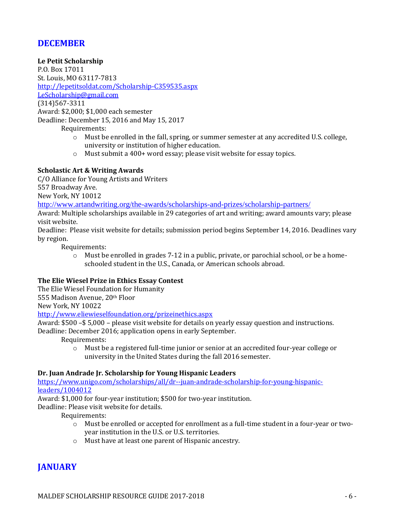# **DECEMBER**

#### **Le Petit Scholarship**

P.O. Box 17011 St. Louis, MO 63117-7813 <http://lepetitsoldat.com/Scholarship-C359535.aspx> [LeScholarship@gmail.com](mailto:LeScholarship@gmail.com) (314)567-3311 Award: \$2,000; \$1,000 each semester Deadline: December 15, 2016 and May 15, 2017

Requirements:

- o Must be enrolled in the fall, spring, or summer semester at any accredited U.S. college, university or institution of higher education.
- o Must submit a 400+ word essay; please visit website for essay topics.

## **Scholastic Art & Writing Awards**

C/O Alliance for Young Artists and Writers 557 Broadway Ave. New York, NY 10012

<http://www.artandwriting.org/the-awards/scholarships-and-prizes/scholarship-partners/>

Award: Multiple scholarships available in 29 categories of art and writing; award amounts vary; please visit website.

Deadline: Please visit website for details; submission period begins September 14, 2016. Deadlines vary by region.

Requirements:

o Must be enrolled in grades 7-12 in a public, private, or parochial school, or be a homeschooled student in the U.S., Canada, or American schools abroad.

#### **The Elie Wiesel Prize in Ethics Essay Contest**

The Elie Wiesel Foundation for Humanity 555 Madison Avenue, 20th Floor New York, NY 10022

<http://www.eliewieselfoundation.org/prizeinethics.aspx>

Award: \$500 –\$ 5,000 – please visit website for details on yearly essay question and instructions. Deadline: December 2016; application opens in early September.

Requirements:

o Must be a registered full-time junior or senior at an accredited four-year college or university in the United States during the fall 2016 semester.

## **Dr. Juan Andrade Jr. Scholarship for Young Hispanic Leaders**

[https://www.unigo.com/scholarships/all/dr--juan-andrade-scholarship-for-young-hispanic](https://www.unigo.com/scholarships/all/dr--juan-andrade-scholarship-for-young-hispanic-leaders/1004012)[leaders/1004012](https://www.unigo.com/scholarships/all/dr--juan-andrade-scholarship-for-young-hispanic-leaders/1004012)

Award: \$1,000 for four-year institution; \$500 for two-year institution.

Deadline: Please visit website for details.

Requirements:

- o Must be enrolled or accepted for enrollment as a full-time student in a four-year or twoyear institution in the U.S. or U.S. territories.
- o Must have at least one parent of Hispanic ancestry.

# **JANUARY**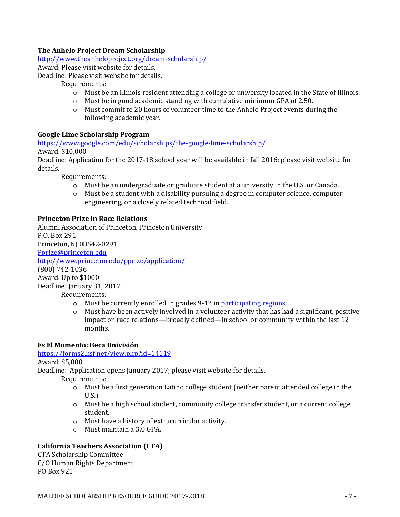## **The Anhelo Project Dream Scholarship**

<http://www.theanheloproject.org/dream-scholarship/>

Award: Please visit website for details.

Deadline: Please visit website for details.

#### Requirements:

- o Must be an Illinois resident attending a college or university located in the State of Illinois.
- o Must be in good academic standing with cumulative minimum GPA of 2.50.
- o Must commit to 20 hours of volunteer time to the Anhelo Project events during the following academic year.

## **Google Lime Scholarship Program**

<https://www.google.com/edu/scholarships/the-google-lime-scholarship/>

Award: \$10,000

Deadline: Application for the 2017-18 school year will be available in fall 2016; please visit website for details.

Requirements:

- o Must be an undergraduate or graduate student at a university in the U.S. or Canada.
- o Must be a student with a disability pursuing a degree in computer science, computer engineering, or a closely related technical field.

## **Princeton Prize in Race Relations**

Alumni Association of Princeton, Princeton University P.O. Box 291 Princeton, NJ 08542-0291 [Pprize@princeton.edu](mailto:Pprize@princeton.edu) <http://www.princeton.edu/pprize/application/> (800) 742-1036 Award: Up to \$1000 Deadline: January 31, 2017. Requirements:

- o Must be currently enrolled in grades 9-12 in [participating regions.](http://www.princeton.edu/pprize/locations/)
- $\circ$  Must have been actively involved in a volunteer activity that has had a significant, positive impact on race relations—broadly defined—in school or community within the last 12 months.

#### **Es El Momento: Beca Univisión**

[https://forms2.hsf.net/view.php?id=14119](https://forms2.hsf.net/view.php?id=14119%20)

Award: \$5,000

Deadline: Application opens January 2017; please visit website for details.

Requirements:

- o Must be a first generation Latino college student (neither parent attended college in the U.S.).
- $\circ$  Must be a high school student, community college transfer student, or a current college student.
- o Must have a history of extracurricular activity.
- o Must maintain a 3.0 GPA.

## **California Teachers Association (CTA)**

CTA Scholarship Committee C/O Human Rights Department PO Box 921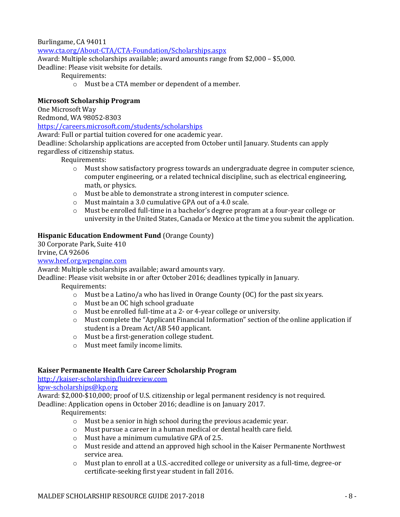#### Burlingame, CA 94011

[www.cta.org/About-CTA/CTA-Foundation/Scholarships.aspx](http://www.cta.org/About-CTA/CTA-Foundation/Scholarships.aspx)

Award: Multiple scholarships available; award amounts range from \$2,000 – \$5,000. Deadline: Please visit website for details.

Requirements:

o Must be a CTA member or dependent of a member.

#### **Microsoft Scholarship Program**

One Microsoft Way

Redmond, WA 98052-8303

<https://careers.microsoft.com/students/scholarships>

Award: Full or partial tuition covered for one academic year.

Deadline: Scholarship applications are accepted from October until January. Students can apply regardless of citizenship status.

Requirements:

- o Must show satisfactory progress towards an undergraduate degree in computer science, computer engineering, or a related technical discipline, such as electrical engineering, math, or physics.
- o Must be able to demonstrate a strong interest in computer science.
- o Must maintain a 3.0 cumulative GPA out of a 4.0 scale.
- o Must be enrolled full-time in a bachelor's degree program at a four-year college or university in the United States, Canada or Mexico at the time you submit the application.

## **Hispanic Education Endowment Fund** (Orange County)

30 Corporate Park, Suite 410 Irvine, CA 92606

[www.heef.org.](http://www.heef.org/)wpengine.com

Award: Multiple scholarships available; award amounts vary.

Deadline: Please visit website in or after October 2016; deadlines typically in January.

Requirements:

- $\circ$  Must be a Latino/a who has lived in Orange County (OC) for the past six years.
- o Must be an OC high school graduate
- o Must be enrolled full-time at a 2- or 4-year college or university.
- o Must complete the "Applicant Financial Information" section of the online application if student is a Dream Act/AB 540 applicant.
- o Must be a first-generation college student.
- o Must meet family income limits.

## **Kaiser Permanente Health Care Career Scholarship Program**

[http://kaiser-scholarship.fluidreview.com](http://kaiser-scholarship.fluidreview.com/)

#### [kpw-scholarships@kp.org](mailto:kpw-scholarships@kp.org)

Award: \$2,000-\$10,000; proof of U.S. citizenship or legal permanent residency is not required. Deadline: Application opens in October 2016; deadline is on January 2017.

- o Must be a senior in high school during the previous academic year.
- o Must pursue a career in a human medical or dental health care field.
- o Must have a minimum cumulative GPA of 2.5.
- o Must reside and attend an approved high school in the Kaiser Permanente Northwest service area.
- o Must plan to enroll at a U.S.-accredited college or university as a full-time, degree-or certificate-seeking first year student in fall 2016.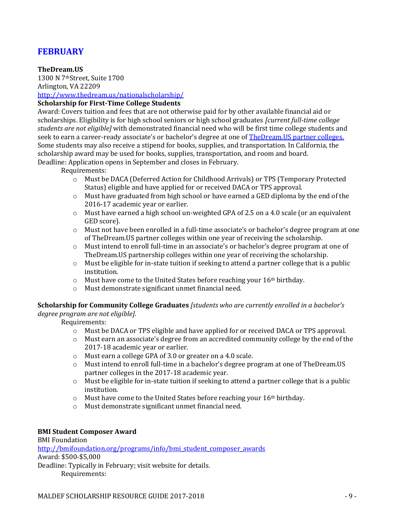# **FEBRUARY**

#### **TheDream.US**

1300 N 7thStreet, Suite 1700 Arlington, VA 22209 <http://www.thedream.us/nationalscholarship/>

## **Scholarship for First-Time College Students**

Award: Covers tuition and fees that are not otherwise paid for by other available financial aid or scholarships. Eligibility is for high school seniors or high school graduates *[current full-time college students are not eligible]* with demonstrated financial need who will be first time college students and seek to earn a career-ready associate's or bachelor's degree at one of **TheDream.US** partner colleges. Some students may also receive a stipend for books, supplies, and transportation. In California, the scholarship award may be used for books, supplies, transportation, and room and board.

Deadline: Application opens in September and closes in February.

Requirements:

- o Must be DACA (Deferred Action for Childhood Arrivals) or TPS (Temporary Protected Status) eligible and have applied for or received DACA or TPS approval.
- $\circ$  Must have graduated from high school or have earned a GED diploma by the end of the 2016-17 academic year or earlier.
- $\circ$  Must have earned a high school un-weighted GPA of 2.5 on a 4.0 scale (or an equivalent GED score).
- o Must not have been enrolled in a full-time associate's or bachelor's degree program at one of TheDream.US partner colleges within one year of receiving the scholarship.
- o Must intend to enroll full-time in an associate's or bachelor's degree program at one of TheDream.US partnership colleges within one year of receiving the scholarship.
- $\circ$  Must be eligible for in-state tuition if seeking to attend a partner college that is a public institution.
- o Must have come to the United States before reaching your 16th birthday.
- o Must demonstrate significant unmet financial need.

**Scholarship for Community College Graduates** *[students who are currently enrolled in a bachelor's degree program are not eligible].*

Requirements:

- o Must be DACA or TPS eligible and have applied for or received DACA or TPS approval.
- $\circ$  Must earn an associate's degree from an accredited community college by the end of the 2017-18 academic year or earlier.
- o Must earn a college GPA of 3.0 or greater on a 4.0 scale.
- o Must intend to enroll full-time in a bachelor's degree program at one of TheDream.US partner colleges in the 2017-18 academic year.
- $\circ$  Must be eligible for in-state tuition if seeking to attend a partner college that is a public institution.
- o Must have come to the United States before reaching your 16th birthday.
- o Must demonstrate significant unmet financial need.

#### **BMI Student Composer Award**

BMI Foundation [http://bmifoundation.org/programs/info/bmi\\_student\\_composer\\_awards](http://bmifoundation.org/programs/info/bmi_student_composer_awards) Award: \$500-\$5,000 Deadline: Typically in February; visit website for details. Requirements: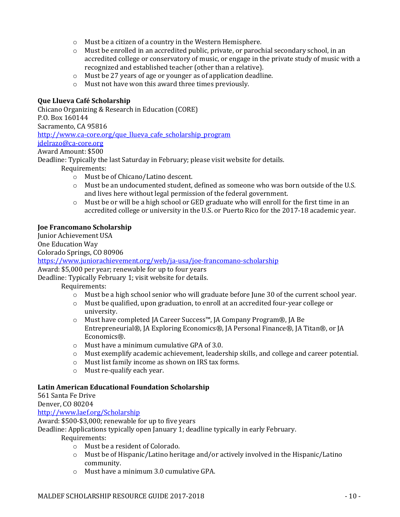- o Must be a citizen of a country in the Western Hemisphere.
- o Must be enrolled in an accredited public, private, or parochial secondary school, in an accredited college or conservatory of music, or engage in the private study of music with a recognized and established teacher (other than a relative).
- o Must be 27 years of age or younger as of application deadline.
- o Must not have won this award three times previously.

#### **Que Llueva Café Scholarship**

Chicano Organizing & Research in Education (CORE) P.O. Box 160144 Sacramento, CA 95816 [http://www.ca-core.org/que\\_llueva\\_cafe\\_scholarship\\_program](http://www.ca-core.org/que_llueva_cafe_scholarship_program) [jdelrazo@ca-core.org](mailto:jdelrazo@ca-core.org)

# Award Amount: \$500

Deadline: Typically the last Saturday in February; please visit website for details.

Requirements:

- o Must be of Chicano/Latino descent.
- o Must be an undocumented student, defined as someone who was born outside of the U.S. and lives here without legal permission of the federal government.
- $\circ$  Must be or will be a high school or GED graduate who will enroll for the first time in an accredited college or university in the U.S. or Puerto Rico for the 2017-18 academic year.

#### **Joe Francomano Scholarship**

Junior Achievement USA

One Education Way

Colorado Springs, CO 80906

<https://www.juniorachievement.org/web/ja-usa/joe-francomano-scholarship>

Award: \$5,000 per year; renewable for up to four years

Deadline: Typically February 1; visit website for details.

Requirements:

- o Must be a high school senior who will graduate before June 30 of the current school year.
- o Must be qualified, upon graduation, to enroll at an accredited four-year college or university.
- o Must have completed JA Career Success™, JA Company Program®, JA Be Entrepreneurial®, JA Exploring Economics®, JA Personal Finance®, JA Titan®, or JA Economics®.
- o Must have a minimum cumulative GPA of 3.0.
- o Must exemplify academic achievement, leadership skills, and college and career potential.
- o Must list family income as shown on IRS tax forms.
- o Must re-qualify each year.

#### **Latin American Educational Foundation Scholarship**

561 Santa Fe Drive Denver, CO 80204

<http://www.laef.org/Scholarship>

Award: \$500-\$3,000; renewable for up to five years

Deadline: Applications typically open January 1; deadline typically in early February.

- o Must be a resident of Colorado.
- $\circ$  Must be of Hispanic/Latino heritage and/or actively involved in the Hispanic/Latino community.
- o Must have a minimum 3.0 cumulative GPA.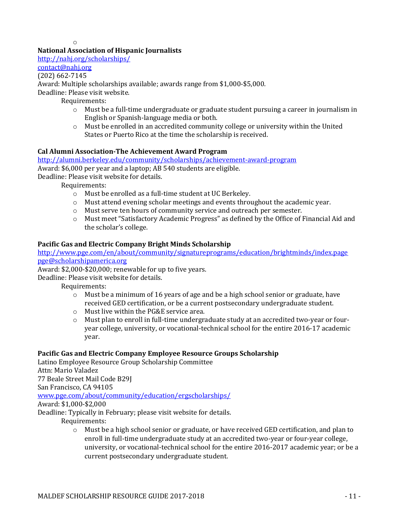o

# **National Association of Hispanic Journalists**

<http://nahj.org/scholarships/>

[contact@nahj.org](mailto:contact@nahj.org?subject=From%20the%20NAHJ%20Applications%20pages&body=)

# (202) 662-7145

Award: Multiple scholarships available; awards range from \$1,000-\$5,000.

Deadline: Please visit website.

Requirements:

- $\circ$  Must be a full-time undergraduate or graduate student pursuing a career in journalism in English or Spanish-language media or both.
- o Must be enrolled in an accredited community college or university within the United States or Puerto Rico at the time the scholarship is received.

# **Cal Alumni Association-The Achievement Award Program**

<http://alumni.berkeley.edu/community/scholarships/achievement-award-program> Award: \$6,000 per year and a laptop; AB 540 students are eligible.

Deadline: Please visit website for details.

Requirements:

- o Must be enrolled as a full-time student at UC Berkeley.
- o Must attend evening scholar meetings and events throughout the academic year.
- o Must serve ten hours of community service and outreach per semester.
- o Must meet "Satisfactory Academic Progress" as defined by the Office of Financial Aid and the scholar's college.

# **Pacific Gas and Electric Company Bright Minds Scholarship**

<http://www.pge.com/en/about/community/signatureprograms/education/brightminds/index.page> [pge@scholarshipamerica.org](mailto:pge@scholarshipamerica.org)

Award: \$2,000-\$20,000; renewable for up to five years.

Deadline: Please visit website for details.

Requirements:

- $\circ$  Must be a minimum of 16 years of age and be a high school senior or graduate, have received GED certification, or be a current postsecondary undergraduate student.
- o Must live within the PG&E service area.
- o Must plan to enroll in full-time undergraduate study at an accredited two-year or fouryear college, university, or vocational-technical school for the entire 2016-17 academic year.

# **Pacific Gas and Electric Company Employee Resource Groups Scholarship**

Latino Employee Resource Group Scholarship Committee Attn: Mario Valadez 77 Beale Street Mail Code B29J San Francisco, CA 94105 [www.pge.com/about/community/education/ergscholarships/](http://www.pge.com/about/community/education/ergscholarships/) Award: \$1,000-\$2,000 Deadline: Typically in February; please visit website for details. Requirements:

o Must be a high school senior or graduate, or have received GED certification, and plan to enroll in full-time undergraduate study at an accredited two-year or four-year college, university, or vocational-technical school for the entire 2016-2017 academic year; or be a current postsecondary undergraduate student.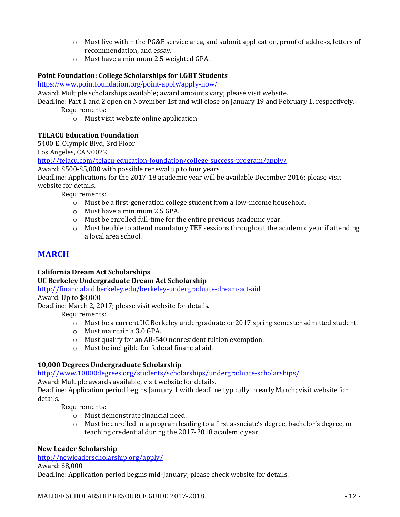- o Must live within the PG&E service area, and submit application, proof of address, letters of recommendation, and essay.
- o Must have a minimum 2.5 weighted GPA.

# **Point Foundation: College Scholarships for LGBT Students**

<https://www.pointfoundation.org/point-apply/apply-now/>

Award: Multiple scholarships available; award amounts vary; please visit website.

Deadline: Part 1 and 2 open on November 1st and will close on January 19 and February 1, respectively. Requirements:

o Must visit website online application

## **TELACU Education Foundation**

5400 E. Olympic Blvd, 3rd Floor

Los Angeles, CA 90022

<http://telacu.com/telacu-education-foundation/college-success-program/apply/>

Award: \$500-\$5,000 with possible renewal up to four years

Deadline: Applications for the 2017-18 academic year will be available December 2016; please visit website for details.

Requirements:

- o Must be a first-generation college student from a low-income household.
- o Must have a minimum 2.5 GPA.
- o Must be enrolled full-time for the entire previous academic year.
- $\circ$  Must be able to attend mandatory TEF sessions throughout the academic year if attending a local area school.

# **MARCH**

**California Dream Act Scholarships**

**UC Berkeley Undergraduate Dream Act Scholarship**

<http://financialaid.berkeley.edu/berkeley-undergraduate-dream-act-aid>

Award: Up to \$8,000

Deadline: March 2, 2017; please visit website for details.

Requirements:

- o Must be a current UC Berkeley undergraduate or 2017 spring semester admitted student.
- o Must maintain a 3.0 GPA.
- o Must qualify for an AB-540 nonresident tuition exemption.
- o Must be ineligible for federal financial aid.

## **10,000 Degrees Undergraduate Scholarship**

<http://www.10000degrees.org/students/scholarships/undergraduate-scholarships/>

Award: Multiple awards available, visit website for details.

Deadline: Application period begins January 1 with deadline typically in early March; visit website for details.

Requirements:

- o Must demonstrate financial need.
- o Must be enrolled in a program leading to a first associate's degree, bachelor's degree, or teaching credential during the 2017-2018 academic year.

# **New Leader Scholarship**

<http://newleaderscholarship.org/apply/> Award: \$8,000

Deadline: Application period begins mid-January; please check website for details.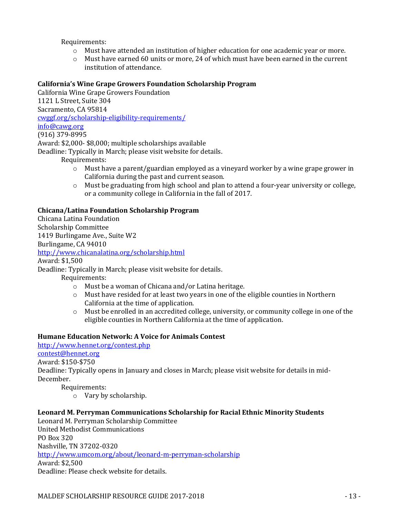Requirements:

- o Must have attended an institution of higher education for one academic year or more.
- $\circ$  Must have earned 60 units or more, 24 of which must have been earned in the current institution of attendance.

## **California's Wine Grape Growers Foundation Scholarship Program**

California Wine Grape Growers Foundation 1121 L Street, Suite 304 Sacramento, CA 95814 [cwggf.org/scholarship-eligibility-requirements/](file://///maldefs15/CEAP/MALDEF%20Yearly%20Scholarship%20List/cwggf.org/scholarship-eligibility-requirements/) [info@cawg.org](mailto:info@cawg.org) (916) 379-8995

Award: \$2,000- \$8,000; multiple scholarships available

Deadline: Typically in March; please visit website for details.

Requirements:

- $\circ$  Must have a parent/guardian employed as a vineyard worker by a wine grape grower in California during the past and current season.
- $\circ$  Must be graduating from high school and plan to attend a four-year university or college, or a community college in California in the fall of 2017.

## **Chicana/Latina Foundation Scholarship Program**

Chicana Latina Foundation Scholarship Committee 1419 Burlingame Ave., Suite W2 Burlingame, CA 94010 <http://www.chicanalatina.org/scholarship.html> Award: \$1,500 Deadline: Typically in March; please visit website for details. Requirements:

- o Must be a woman of Chicana and/or Latina heritage.
- $\circ$  Must have resided for at least two years in one of the eligible counties in Northern California at the time of application.
- $\circ$  Must be enrolled in an accredited college, university, or community college in one of the eligible counties in Northern California at the time of application.

## **Humane Education Network: A Voice for Animals Contest**

<http://www.hennet.org/contest.php>

[contest@hennet.org](mailto:contest@hennet.org)

Award: \$150-\$750

Deadline: Typically opens in January and closes in March; please visit website for details in mid-December.

Requirements:

o Vary by scholarship.

## **Leonard M. Perryman Communications Scholarship for Racial Ethnic Minority Students**

Leonard M. Perryman Scholarship Committee United Methodist Communications PO Box 320 Nashville, TN 37202-0320 <http://www.umcom.org/about/leonard-m-perryman-scholarship> Award: \$2,500 Deadline: Please check website for details.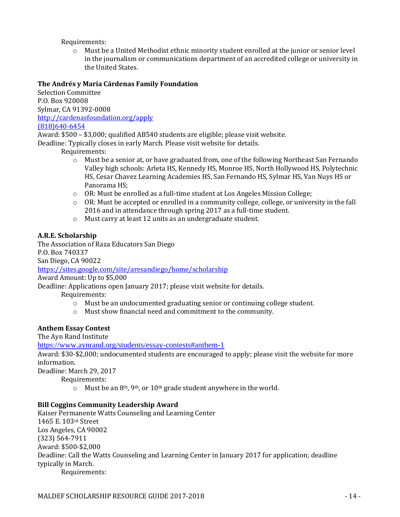Requirements:

o Must be a United Methodist ethnic minority student enrolled at the junior or senior level in the journalism or communications department of an accredited college or university in the United States.

## **The Andrés y María Cárdenas Family Foundation**

Selection Committee P.O. Box 920008 Sylmar, CA 91392-0008 <http://cardenasfoundation.org/apply> (818)640-6454

Award: \$500 – \$3,000; qualified AB540 students are eligible; please visit website.

Deadline: Typically closes in early March. Please visit website for details.

Requirements:

- o Must be a senior at, or have graduated from, one of the following Northeast San Fernando Valley high schools: Arleta HS, Kennedy HS, Monroe HS, North Hollywood HS, Polytechnic HS, Cesar Chavez Learning Academies HS, San Fernando HS, Sylmar HS, Van Nuys HS or Panorama HS;
- o OR: Must be enrolled as a full-time student at Los Angeles Mission College;
- $\circ$  OR: Must be accepted or enrolled in a community college, college, or university in the fall 2016 and in attendance through spring 2017 as a full-time student.
- o Must carry at least 12 units as an undergraduate student.

## **A.R.E. Scholarship**

The Association of Raza Educators San Diego P.O. Box 740337 San Diego, CA 90022 <https://sites.google.com/site/aresandiego/home/scholarship>

Award Amount: Up to \$5,000

Deadline: Applications open January 2017; please visit website for details.

Requirements:

- o Must be an undocumented graduating senior or continuing college student.
- o Must show financial need and commitment to the community.

## **Anthem Essay Contest**

The Ayn Rand Institute

<https://www.aynrand.org/students/essay-contests#anthem-1>

Award: \$30-\$2,000; undocumented students are encouraged to apply; please visit the website for more information.

Deadline: March 29, 2017

Requirements:

 $\circ$  Must be an 8<sup>th</sup>, 9<sup>th</sup>, or 10<sup>th</sup> grade student anywhere in the world.

## **Bill Coggins Community Leadership Award**

Kaiser Permanente Watts Counseling and Learning Center 1465 E. 103rd Street Los Angeles, CA 90002 (323) 564-7911 Award: \$500-\$2,000 Deadline: Call the Watts Counseling and Learning Center in January 2017 for application; deadline typically in March. Requirements: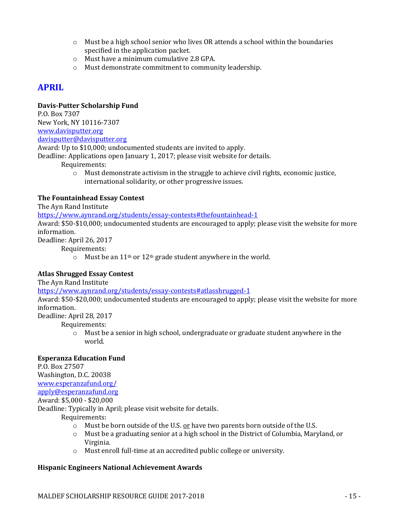- $\circ$  Must be a high school senior who lives OR attends a school within the boundaries specified in the application packet.
- o Must have a minimum cumulative 2.8 GPA.
- o Must demonstrate commitment to community leadership.

# **APRIL**

## **Davis-Putter Scholarship Fund**

P.O. Box 7307 New York, NY 10116-7307 [www.davisputter.org](http://www.davisputter.org/)

[davisputter@davisputter.org](mailto:davisputter@davisputter.org)

Award: Up to \$10,000; undocumented students are invited to apply.

Deadline: Applications open January 1, 2017; please visit website for details.

Requirements:

 $\circ$  Must demonstrate activism in the struggle to achieve civil rights, economic justice, international solidarity, or other progressive issues.

## **The Fountainhead Essay Contest**

The Ayn Rand Institute

<https://www.aynrand.org/students/essay-contests#thefountainhead-1>

Award: \$50-\$10,000; undocumented students are encouraged to apply; please visit the website for more information.

Deadline: April 26, 2017

Requirements:

 $\circ$  Must be an 11<sup>th</sup> or 12<sup>th</sup> grade student anywhere in the world.

## **Atlas Shrugged Essay Contest**

The Ayn Rand Institute

<https://www.aynrand.org/students/essay-contests#atlasshrugged-1>

Award: \$50-\$20,000; undocumented students are encouraged to apply; please visit the website for more information.

Deadline: April 28, 2017

Requirements:

o Must be a senior in high school, undergraduate or graduate student anywhere in the world.

## **Esperanza Education Fund**

P.O. Box 27507 Washington, D.C. 20038 [www.esperanzafund.org/](http://www.esperanzafund.org/) [apply@esperanzafund.org](mailto:apply@esperanzafund.org) Award: \$5,000 - \$20,000

Deadline: Typically in April; please visit website for details.

Requirements:

- o Must be born outside of the U.S. or have two parents born outside of the U.S.
- $\circ$  Must be a graduating senior at a high school in the District of Columbia, Maryland, or Virginia.
- o Must enroll full-time at an accredited public college or university.

## **Hispanic Engineers National Achievement Awards**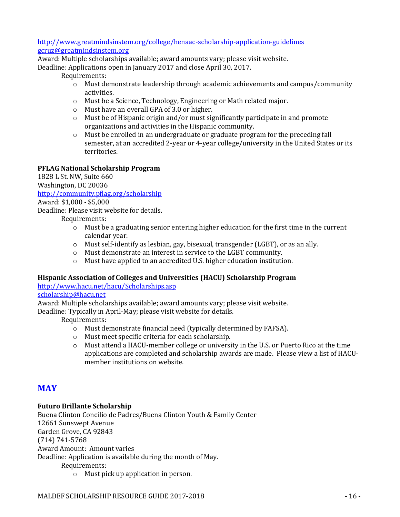<http://www.greatmindsinstem.org/college/henaac-scholarship-application-guidelines> [gcruz@greatmindsinstem.org](mailto:gcruz@greatmindsinstem.org)

Award: Multiple scholarships available; award amounts vary; please visit website. Deadline: Applications open in January 2017 and close April 30, 2017.

Requirements:

- o Must demonstrate leadership through academic achievements and campus/community activities.
- o Must be a Science, Technology, Engineering or Math related major.
- o Must have an overall GPA of 3.0 or higher.
- $\circ$  Must be of Hispanic origin and/or must significantly participate in and promote organizations and activities in the Hispanic community.
- $\circ$  Must be enrolled in an undergraduate or graduate program for the preceding fall semester, at an accredited 2-year or 4-year college/university in the United States or its territories.

## **PFLAG National Scholarship Program**

1828 L St. NW, Suite 660 Washington, DC 20036

<http://community.pflag.org/scholarship>

Award: \$1,000 - \$5,000 Deadline: Please visit website for details.

Requirements:

- $\circ$  Must be a graduating senior entering higher education for the first time in the current calendar year.
- o Must self-identify as lesbian, gay, bisexual, transgender (LGBT), or as an ally.
- o Must demonstrate an interest in service to the LGBT community.
- o Must have applied to an accredited U.S. higher education institution.

# **Hispanic Association of Colleges and Universities (HACU) Scholarship Program**

<http://www.hacu.net/hacu/Scholarships.asp>

[scholarship@hacu.net](mailto:scholarship@hacu.net)

Award: Multiple scholarships available; award amounts vary; please visit website.

Deadline: Typically in April-May; please visit website for details.

Requirements:

- o Must demonstrate financial need (typically determined by FAFSA).
- o Must meet specific criteria for each scholarship.
- o Must attend a HACU-member college or university in the U.S. or Puerto Rico at the time applications are completed and scholarship awards are made. Please view a list of HACUmember institutions on website.

# **MAY**

# **Futuro Brillante Scholarship**

Buena Clinton Concilio de Padres/Buena Clinton Youth & Family Center 12661 Sunswept Avenue Garden Grove, CA 92843 (714) 741-5768 Award Amount: Amount varies Deadline: Application is available during the month of May. Requirements:

o Must pick up application in person.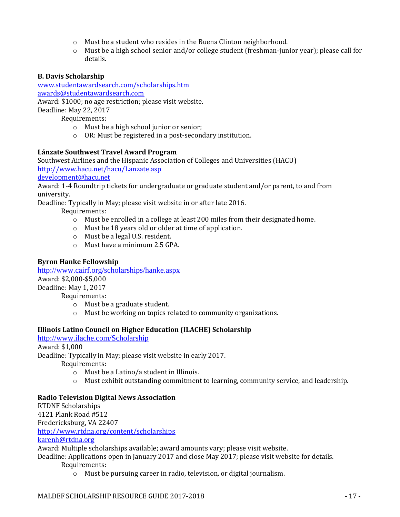- o Must be a student who resides in the Buena Clinton neighborhood.
- o Must be a high school senior and/or college student (freshman-junior year); please call for details.

## **B. Davis Scholarship**

[www.studentawardsearch.com/scholarships.htm](http://www.studentawardsearch.com/scholarships.htm)

[awards@studentawardsearch.com](mailto:awards@studentawardsearch.com)

Award: \$1000; no age restriction; please visit website.

Deadline: May 22, 2017

Requirements:

- o Must be a high school junior or senior;
- o OR: Must be registered in a post-secondary institution.

## **Lánzate Southwest Travel Award Program**

Southwest Airlines and the Hispanic Association of Colleges and Universities (HACU) <http://www.hacu.net/hacu/Lanzate.asp>

[development@hacu.net](mailto:development@hacu.net)

Award: 1-4 Roundtrip tickets for undergraduate or graduate student and/or parent, to and from university.

Deadline: Typically in May; please visit website in or after late 2016.

Requirements:

- o Must be enrolled in a college at least 200 miles from their designated home.
- o Must be 18 years old or older at time of application.
- o Must be a legal U.S. resident.
- o Must have a minimum 2.5 GPA.

# **Byron Hanke Fellowship**

<http://www.cairf.org/scholarships/hanke.aspx> Award: \$2,000-\$5,000 Deadline: May 1, 2017 Requirements:

- o Must be a graduate student.
- o Must be working on topics related to community organizations.

## **Illinois Latino Council on Higher Education (ILACHE) Scholarship**

<http://www.ilache.com/Scholarship>

Award: \$1,000

Deadline: Typically in May; please visit website in early 2017.

Requirements:

- o Must be a Latino/a student in Illinois.
- o Must exhibit outstanding commitment to learning, community service, and leadership.

## **Radio Television Digital News Association**

RTDNF Scholarships 4121 Plank Road #512 Fredericksburg, VA 22407 <http://www.rtdna.org/content/scholarships> [karenh@rtdna.org](mailto:karenh@rtdna.org) Award: Multiple scholarships available; award amounts vary; please visit website. Deadline: Applications open in January 2017 and close May 2017; please visit website for details. Requirements:

o Must be pursuing career in radio, television, or digital journalism.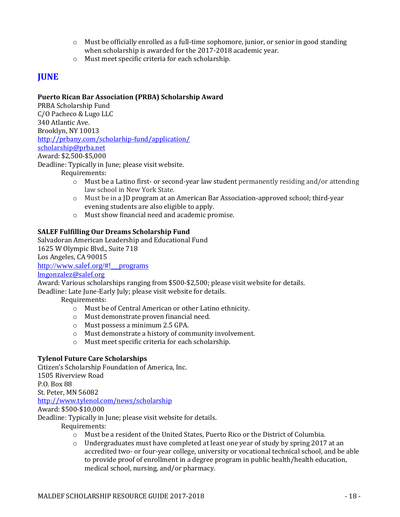- $\circ$  Must be officially enrolled as a full-time sophomore, junior, or senior in good standing when scholarship is awarded for the 2017-2018 academic year.
- o Must meet specific criteria for each scholarship.

# **JUNE**

# **Puerto Rican Bar Association (PRBA) Scholarship Award**

PRBA Scholarship Fund C/O Pacheco & Lugo LLC 340 Atlantic Ave. Brooklyn, NY 10013 http://prbany.com/scholarhip-fund/application/ [scholarship@prba.net](file://///maldefs15/CEAP/MALDEF%20Yearly%20Scholarship%20List/scholarship@prba.net)

#### Award: \$2,500-\$5,000

Deadline: Typically in June; please visit website.

Requirements:

- $\circ$  Must be a Latino first- or second-year law student permanently residing and/or attending law school in New York State.
- o Must be in a JD program at an American Bar Association-approved school; third-year evening students are also eligible to apply.
- o Must show financial need and academic promise.

## **SALEF Fulfilling Our Dreams Scholarship Fund**

Salvadoran American Leadership and Educational Fund 1625 W Olympic Blvd., Suite 718 Los Angeles, CA 90015 [http://www.salef.org/#!\\_\\_programs](http://www.salef.org/#!__programs) [lmgonzalez@salef.org](mailto:lmgonzalez@salef.org)

Award: Various scholarships ranging from \$500-\$2,500; please visit website for details. Deadline: Late June-Early July; please visit website for details.

Requirements:

- o Must be of Central American or other Latino ethnicity.
- o Must demonstrate proven financial need.
- o Must possess a minimum 2.5 GPA.
- o Must demonstrate a history of community involvement.
- o Must meet specific criteria for each scholarship.

## **Tylenol Future Care Scholarships**

Citizen's Scholarship Foundation of America, Inc. 1505 Riverview Road P.O. Box 88 St. Peter, MN 56082 <http://www.tylenol.com/news/scholarship> Award: \$500-\$10,000

Deadline: Typically in June; please visit website for details.

- o Must be a resident of the United States, Puerto Rico or the District of Columbia.
- $\circ$  Undergraduates must have completed at least one year of study by spring 2017 at an accredited two- or four-year college, university or vocational technical school, and be able to provide proof of enrollment in a degree program in public health/health education, medical school, nursing, and/or pharmacy.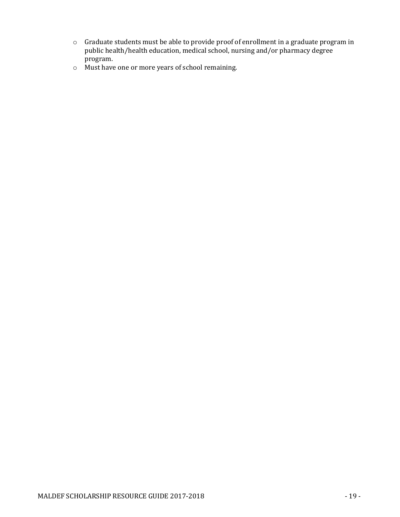- o Graduate students must be able to provide proof of enrollment in a graduate program in public health/health education, medical school, nursing and/or pharmacy degree program.
- o Must have one or more years of school remaining.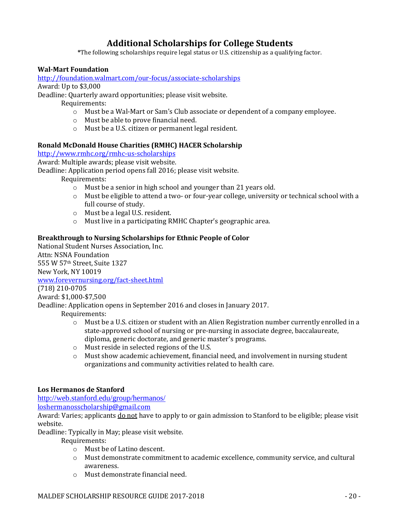# **Additional Scholarships for College Students**

**\***The following scholarships require legal status or U.S. citizenship as a qualifying factor.

## **Wal-Mart Foundation**

<http://foundation.walmart.com/our-focus/associate-scholarships>

Award: Up to \$3,000

Deadline: Quarterly award opportunities; please visit website.

Requirements:

- o Must be a Wal-Mart or Sam's Club associate or dependent of a company employee.
- o Must be able to prove financial need.
- o Must be a U.S. citizen or permanent legal resident.

## **Ronald McDonald House Charities (RMHC) HACER Scholarship**

<http://www.rmhc.org/rmhc-us-scholarships>

Award: Multiple awards; please visit website.

Deadline: Application period opens fall 2016; please visit website.

Requirements:

- o Must be a senior in high school and younger than 21 years old.
- $\circ$  Must be eligible to attend a two- or four-year college, university or technical school with a full course of study.
- o Must be a legal U.S. resident.
- o Must live in a participating RMHC Chapter's geographic area.

## **Breakthrough to Nursing Scholarships for Ethnic People of Color**

National Student Nurses Association, Inc. Attn: NSNA Foundation 555 W 57th Street, Suite 1327

New York, NY 10019

[www.forevernursing.org/fact-sheet.html](http://www.forevernursing.org/fact-sheet.html)

(718) 210-0705

Award: \$1,000-\$7,500

Deadline: Application opens in September 2016 and closes in January 2017.

Requirements:

- o Must be a U.S. citizen or student with an Alien Registration number currently enrolled in a state-approved school of nursing or pre-nursing in associate degree, baccalaureate, diploma, generic doctorate, and generic master's programs.
- o Must reside in selected regions of the U.S.
- $\circ$  Must show academic achievement, financial need, and involvement in nursing student organizations and community activities related to health care.

# **Los Hermanos de Stanford**

<http://web.stanford.edu/group/hermanos/>

[loshermanosscholarship@gmail.com](file://///maldefs15/CEAP/MALDEF%20Yearly%20Scholarship%20List/loshermanosscholarship@gmail.com)

Award: Varies; applicants do not have to apply to or gain admission to Stanford to be eligible; please visit website.

Deadline: Typically in May; please visit website.

- o Must be of Latino descent.
- o Must demonstrate commitment to academic excellence, community service, and cultural awareness.
- o Must demonstrate financial need.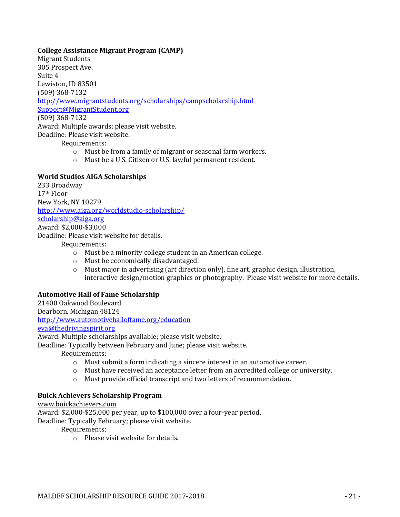## **College Assistance Migrant Program (CAMP)**

Migrant Students 305 Prospect Ave. Suite 4 Lewiston, ID 83501 (509) 368-7132 <http://www.migrantstudents.org/scholarships/campscholarship.html> [Support@MigrantStudent.org](mailto:Support@MigrantStudent.org) (509) 368-7132 Award: Multiple awards; please visit website. Deadline: Please visit website. Requirements:

o Must be from a family of migrant or seasonal farm workers.

o Must be a U.S. Citizen or U.S. lawful permanent resident.

#### **World Studios AIGA Scholarships**

233 Broadway 17th Floor New York, NY 10279 <http://www.aiga.org/worldstudio-scholarship/> [scholarship@aiga.org](mailto:scholarship@aiga.org) Award: \$2,000-\$3,000

Deadline: Please visit website for details.

Requirements:

- o Must be a minority college student in an American college.
- o Must be economically disadvantaged.
- o Must major in advertising (art direction only), fine art, graphic design, illustration, interactive design/motion graphics or photography. Please visit website for more details.

## **Automotive Hall of Fame Scholarship**

21400 Oakwood Boulevard Dearborn, Michigan 48124 <http://www.automotivehalloffame.org/education> [eva@thedrivingspirit.org](mailto:eva@thedrivingspirit.org)

Award: Multiple scholarships available; please visit website.

Deadline: Typically between February and June; please visit website.

Requirements:

- $\circ$  Must submit a form indicating a sincere interest in an automotive career.
- $\circ$  Must have received an acceptance letter from an accredited college or university.
- o Must provide official transcript and two letters of recommendation.

#### **Buick Achievers Scholarship Program**

[www.buickachievers.com](http://www.buickachievers.com/)

Award: \$2,000-\$25,000 per year, up to \$100,000 over a four-year period.

Deadline: Typically February; please visit website.

Requirements:

o Please visit website for details.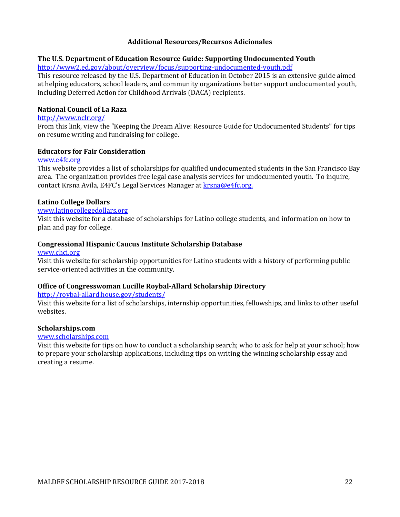#### **Additional Resources/Recursos Adicionales**

#### **The U.S. Department of Education Resource Guide: Supporting Undocumented Youth**

<http://www2.ed.gov/about/overview/focus/supporting-undocumented-youth.pdf>

This resource released by the U.S. Department of Education in October 2015 is an extensive guide aimed at helping educators, school leaders, and community organizations better support undocumented youth, including Deferred Action for Childhood Arrivals (DACA) recipients.

#### **National Council of La Raza**

#### <http://www.nclr.org/>

From this link, view the "Keeping the Dream Alive: Resource Guide for Undocumented Students" for tips on resume writing and fundraising for college.

#### **Educators for Fair Consideration**

#### [www.e4fc.org](http://www.e4fc.org/)

This website provides a list of scholarships for qualified undocumented students in the San Francisco Bay area. The organization provides free legal case analysis services for undocumented youth. To inquire, contact Krsna Avila, E4FC's Legal Services Manager at [krsna@e4fc.org.](mailto:krsna@e4fc.org)

#### **Latino College Dollars**

## [www.latinocollegedollars.org](http://www.latinocollegedollars.org/)

Visit this website for a database of scholarships for Latino college students, and information on how to plan and pay for college.

#### **Congressional Hispanic Caucus Institute Scholarship Database**

#### [www.chci.org](http://www.chci.org/)

Visit this website for scholarship opportunities for Latino students with a history of performing public service-oriented activities in the community.

#### **Office of Congresswoman Lucille Roybal-Allard Scholarship Directory**

#### <http://roybal-allard.house.gov/students/>

Visit this website for a list of scholarships, internship opportunities, fellowships, and links to other useful websites.

#### **Scholarships.com**

#### [www.scholarships.com](http://www.scholarships.com/)

Visit this website for tips on how to conduct a scholarship search; who to ask for help at your school; how to prepare your scholarship applications, including tips on writing the winning scholarship essay and creating a resume.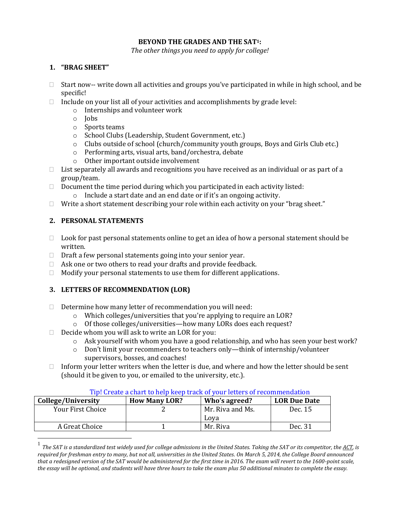#### **BEYOND THE GRADES AND THE SAT1:**

*The other things you need to apply for college!*

## **1. "BRAG SHEET"**

- $\Box$  Start now-- write down all activities and groups you've participated in while in high school, and be specific!
- $\Box$  Include on your list all of your activities and accomplishments by grade level:
	- o Internships and volunteer work
	- o Jobs
	- o Sports teams
	- o School Clubs (Leadership, Student Government, etc.)
	- o Clubs outside of school (church/community youth groups, Boys and Girls Club etc.)
	- o Performing arts, visual arts, band/orchestra, debate
	- o Other important outside involvement
- $\Box$  List separately all awards and recognitions you have received as an individual or as part of a group/team.
- $\Box$  Document the time period during which you participated in each activity listed:
	- o Include a start date and an end date or if it's an ongoing activity.
- □ Write a short statement describing your role within each activity on your "brag sheet."

# **2. PERSONAL STATEMENTS**

 $\overline{a}$ 

- $\Box$  Look for past personal statements online to get an idea of how a personal statement should be written.
- $\Box$  Draft a few personal statements going into your senior year.
- $\Box$  Ask one or two others to read your drafts and provide feedback.
- $\Box$  Modify your personal statements to use them for different applications.

## **3. LETTERS OF RECOMMENDATION (LOR)**

- $\Box$  Determine how many letter of recommendation you will need:
	- o Which colleges/universities that you're applying to require an LOR?
	- o Of those colleges/universities—how many LORs does each request?
- $\Box$  Decide whom you will ask to write an LOR for you:
	- o Ask yourself with whom you have a good relationship, and who has seen your best work?
	- o Don't limit your recommenders to teachers only—think of internship/volunteer supervisors, bosses, and coaches!
- $\Box$  Inform your letter writers when the letter is due, and where and how the letter should be sent (should it be given to you, or emailed to the university, etc.).

| College/University | <b>How Many LOR?</b> | Tib: Gregle a chart to help Keep track of your letters of recommendation<br>Who's agreed? | <b>LOR Due Date</b> |
|--------------------|----------------------|-------------------------------------------------------------------------------------------|---------------------|
| Your First Choice  |                      | Mr. Riva and Ms.                                                                          | Dec. 15             |
|                    |                      | Lova                                                                                      |                     |
| A Great Choice     |                      | Mr. Riva                                                                                  | Dec. 31             |

# Tip! Create a chart to help keep track of your letters of recommendation

<sup>1</sup> *The SAT is [a standardized test](https://en.wikipedia.org/wiki/Standardized_test) widely used fo[r college admissions](https://en.wikipedia.org/wiki/College_admissions_in_the_United_States) in th[e United States.](https://en.wikipedia.org/wiki/Education_in_the_United_States) Taking the SAT or its competitor, th[e ACT,](https://en.wikipedia.org/wiki/ACT_(test)) is required for freshman entry to many, but not all, universities in the United States. On March 5, 2014, the College Board announced that a redesigned version of the SAT would be administered for the first time in 2016. The exam will revert to the 1600-point scale, the essay will be optional, and students will have three hours to take the exam plus 50 additional minutes to complete the essay.*